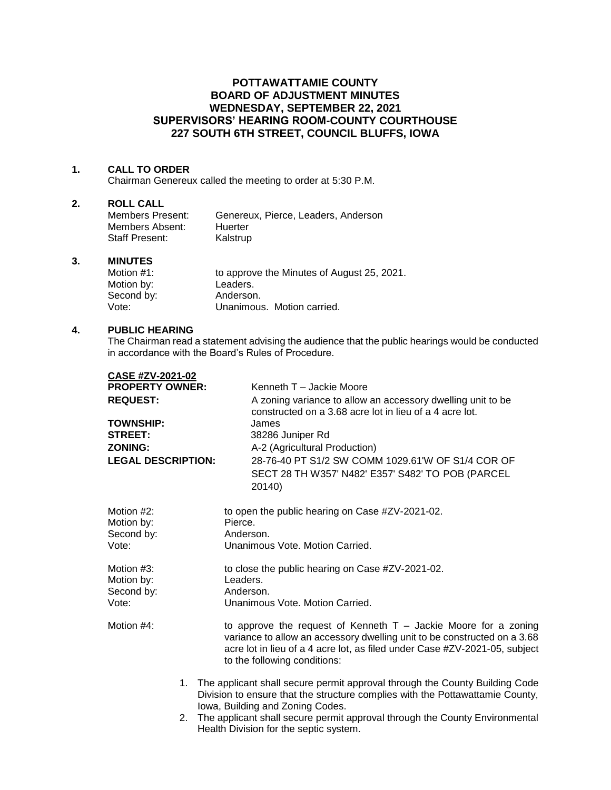# **POTTAWATTAMIE COUNTY BOARD OF ADJUSTMENT MINUTES WEDNESDAY, SEPTEMBER 22, 2021 SUPERVISORS' HEARING ROOM-COUNTY COURTHOUSE 227 SOUTH 6TH STREET, COUNCIL BLUFFS, IOWA**

## **1. CALL TO ORDER**

Chairman Genereux called the meeting to order at 5:30 P.M.

## **2. ROLL CALL**

| Members Present:      | Genereux, Pierce, Leaders, Anderson |
|-----------------------|-------------------------------------|
| Members Absent:       | Huerter                             |
| <b>Staff Present:</b> | Kalstrup                            |

#### **3. MINUTES**

| Motion $#1$ : | to approve the Minutes of August 25, 2021. |
|---------------|--------------------------------------------|
| Motion by:    | Leaders.                                   |
| Second by:    | Anderson.                                  |
| Vote:         | Unanimous. Motion carried.                 |

#### **4. PUBLIC HEARING**

The Chairman read a statement advising the audience that the public hearings would be conducted in accordance with the Board's Rules of Procedure.

| CASE #ZV-2021-02          |                                                                                                                                                                                                                                                             |
|---------------------------|-------------------------------------------------------------------------------------------------------------------------------------------------------------------------------------------------------------------------------------------------------------|
| <b>PROPERTY OWNER:</b>    | Kenneth T - Jackie Moore                                                                                                                                                                                                                                    |
| <b>REQUEST:</b>           | A zoning variance to allow an accessory dwelling unit to be<br>constructed on a 3.68 acre lot in lieu of a 4 acre lot.                                                                                                                                      |
| <b>TOWNSHIP:</b>          | James                                                                                                                                                                                                                                                       |
| <b>STREET:</b>            | 38286 Juniper Rd                                                                                                                                                                                                                                            |
| <b>ZONING:</b>            | A-2 (Agricultural Production)                                                                                                                                                                                                                               |
| <b>LEGAL DESCRIPTION:</b> | 28-76-40 PT S1/2 SW COMM 1029.61'W OF S1/4 COR OF                                                                                                                                                                                                           |
|                           | SECT 28 TH W357' N482' E357' S482' TO POB (PARCEL<br>20140)                                                                                                                                                                                                 |
| Motion #2:<br>Motion by:  | to open the public hearing on Case #ZV-2021-02.<br>Pierce.                                                                                                                                                                                                  |
| Second by:                | Anderson.                                                                                                                                                                                                                                                   |
| Vote:                     | Unanimous Vote, Motion Carried.                                                                                                                                                                                                                             |
| Motion #3:                | to close the public hearing on Case #ZV-2021-02.                                                                                                                                                                                                            |
| Motion by:                | Leaders.                                                                                                                                                                                                                                                    |
| Second by:                | Anderson.                                                                                                                                                                                                                                                   |
| Vote:                     | Unanimous Vote, Motion Carried.                                                                                                                                                                                                                             |
| Motion #4:                | to approve the request of Kenneth $T -$ Jackie Moore for a zoning<br>variance to allow an accessory dwelling unit to be constructed on a 3.68<br>acre lot in lieu of a 4 acre lot, as filed under Case #ZV-2021-05, subject<br>to the following conditions: |
|                           | 1. The applicant shall secure permit approval through the County Building Code<br>Division to ensure that the structure complies with the Pottawattamie County,                                                                                             |
| 2.                        | Iowa, Building and Zoning Codes.<br>The applicant shall secure permit approval through the County Environmental<br>Health Division for the septic system.                                                                                                   |